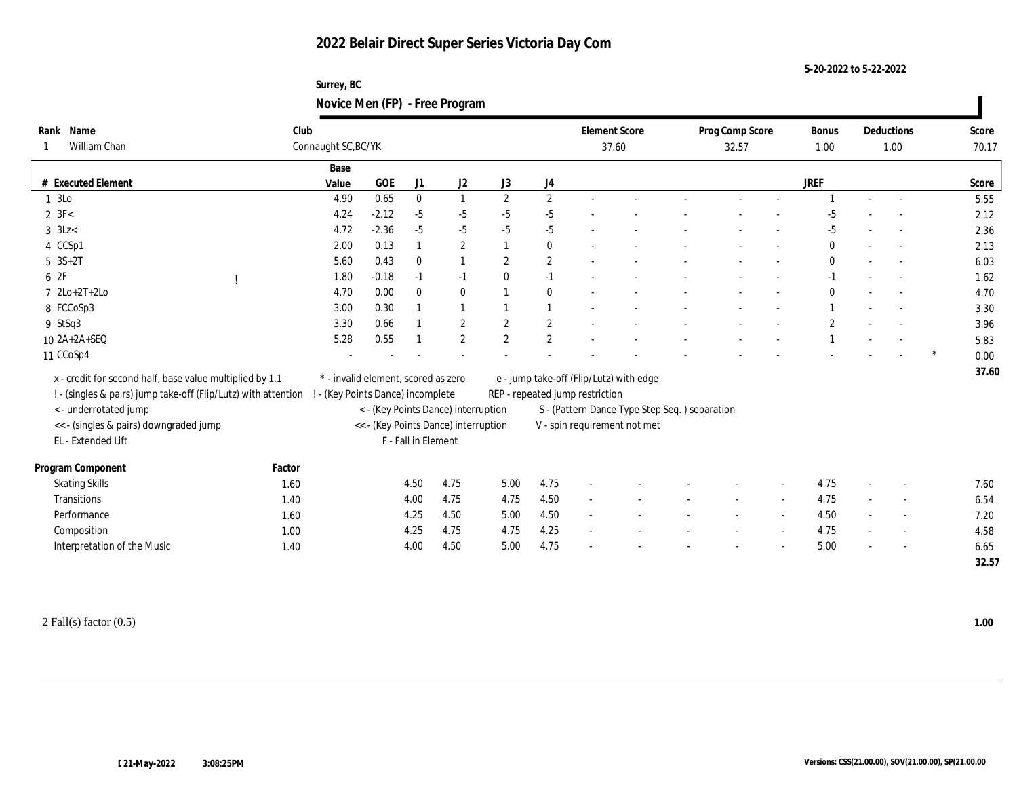## **2022 Belair Direct Super Series Victoria Day Com**

**Surrey, BC Novice Men (FP) - Free Program**

| Rank Name<br>William Chan                                      | Club                                 | Connaught SC, BC/YK                 |                                     |                     |                              |                |                              | <b>Element Score</b><br>37.60           |                                               | Prog Comp Score<br>32.57 |  |  | Bonus<br>1.00 | Deductions<br>1.00 |                          | Score<br>70.17 |
|----------------------------------------------------------------|--------------------------------------|-------------------------------------|-------------------------------------|---------------------|------------------------------|----------------|------------------------------|-----------------------------------------|-----------------------------------------------|--------------------------|--|--|---------------|--------------------|--------------------------|----------------|
| # Executed Element                                             |                                      | Base                                | $_{\rm GOE}$                        |                     |                              |                |                              |                                         |                                               |                          |  |  | <b>JREF</b>   |                    |                          |                |
|                                                                |                                      | Value                               |                                     | J1                  | J2                           | J3             | J4                           |                                         |                                               |                          |  |  |               |                    |                          | Score          |
| 1 3Lo                                                          |                                      | 4.90                                | 0.65                                | $\mathbf{0}$        | 1                            | $\mathbf{2}$   | $\mathbf{2}$                 |                                         |                                               |                          |  |  |               |                    |                          | 5.55           |
| $2 \text{ } 3F<$                                               |                                      | 4.24<br>4.72                        | $-2.12$                             | $-5$                | $-5$                         | $-5$           | $-5$                         |                                         |                                               |                          |  |  | -5            |                    |                          | 2.12           |
| $3$ 3<br>Lz<br>$\,$                                            |                                      |                                     | $-2.36$                             | $-5$                | $-5$                         | $-5$           | $-5$                         |                                         |                                               |                          |  |  | $-5$          |                    |                          | 2.36           |
| 4 CCSp1                                                        |                                      | 2.00                                | 0.13                                |                     | $\mathbf{2}$<br>$\mathbf{1}$ |                | $\bf{0}$                     |                                         |                                               |                          |  |  | $\bf{0}$      |                    |                          | 2.13           |
| $5 \, 3S + 2T$<br>6 2F                                         |                                      | 5.60                                | 0.43                                | $\bf{0}$            |                              | $\mathbf{2}$   | $\sqrt{2}$                   |                                         |                                               |                          |  |  | $\bf{0}$      |                    |                          | 6.03           |
|                                                                |                                      | 1.80                                | $-0.18$                             | $-1$                | $-1$                         | $\bf{0}$       | $-1$                         |                                         |                                               |                          |  |  | $-1$          |                    |                          | 1.62           |
| $7 2Lo+2T+2Lo$                                                 |                                      | 4.70                                | 0.00                                | $\mathbf{0}$        | $\bf{0}$                     |                | $\bf{0}$                     |                                         |                                               |                          |  |  | $\mathbf{0}$  |                    |                          | 4.70           |
| 8 FCCoSp3                                                      |                                      | 3.00                                | 0.30                                |                     | 1                            |                |                              |                                         |                                               |                          |  |  |               |                    |                          | 3.30           |
| 9 StSq3                                                        |                                      | 3.30                                | 0.66                                |                     | $\mathbf{2}$                 | 2              | $\mathbf{2}$                 |                                         |                                               |                          |  |  | $\mathbf{2}$  |                    |                          | 3.96           |
| 10 2A+2A+SEQ                                                   |                                      | 5.28                                | 0.55                                |                     | 2                            | $\overline{2}$ | $\mathbf{2}$                 |                                         |                                               |                          |  |  |               |                    |                          | 5.83           |
| 11 CCoSp4                                                      |                                      |                                     |                                     |                     |                              |                |                              |                                         |                                               |                          |  |  |               |                    |                          | 0.00           |
| x - credit for second half, base value multiplied by 1.1       |                                      | * - invalid element, scored as zero |                                     |                     |                              |                |                              | e - jump take-off (Flip/Lutz) with edge |                                               |                          |  |  |               |                    |                          | 37.60          |
| ! - (singles & pairs) jump take-off (Flip/Lutz) with attention |                                      | ! - (Key Points Dance) incomplete   |                                     |                     |                              |                |                              | REP - repeated jump restriction         |                                               |                          |  |  |               |                    |                          |                |
| <- underrotated jump                                           |                                      |                                     | < - (Key Points Dance) interruption |                     |                              |                |                              |                                         | S - (Pattern Dance Type Step Seq.) separation |                          |  |  |               |                    |                          |                |
| << - (singles & pairs) downgraded jump                         | << - (Key Points Dance) interruption |                                     |                                     |                     |                              |                | V - spin requirement not met |                                         |                                               |                          |  |  |               |                    |                          |                |
| EL - Extended Lift                                             |                                      |                                     |                                     | F - Fall in Element |                              |                |                              |                                         |                                               |                          |  |  |               |                    |                          |                |
| Program Component                                              | Factor                               |                                     |                                     |                     |                              |                |                              |                                         |                                               |                          |  |  |               |                    |                          |                |
| <b>Skating Skills</b>                                          | 1.60                                 |                                     |                                     | 4.50                | 4.75                         | 5.00           | 4.75                         |                                         |                                               |                          |  |  | 4.75          |                    |                          | 7.60           |
| Transitions                                                    | 1.40                                 |                                     |                                     | 4.00                | 4.75                         | 4.75           | 4.50                         |                                         |                                               |                          |  |  | 4.75          |                    |                          | 6.54           |
| Performance                                                    | 1.60                                 |                                     |                                     | 4.25                | 4.50                         | 5.00           | 4.50                         | $\sim$                                  |                                               |                          |  |  | 4.50          | $\sim$             |                          | 7.20           |
| Composition                                                    | 1.00                                 |                                     |                                     | 4.25                | 4.75                         | 4.75           | 4.25                         | $\overline{a}$                          |                                               |                          |  |  | 4.75          |                    | $\overline{\phantom{a}}$ | 4.58           |
| Interpretation of the Music                                    | 1.40                                 |                                     |                                     | 4.00                | 4.50                         | 5.00           | 4.75                         |                                         |                                               |                          |  |  | 5.00          |                    |                          | 6.65           |
|                                                                |                                      |                                     |                                     |                     |                              |                |                              |                                         |                                               |                          |  |  |               |                    |                          | 32.57          |

**5-20-2022 to 5-22-2022**